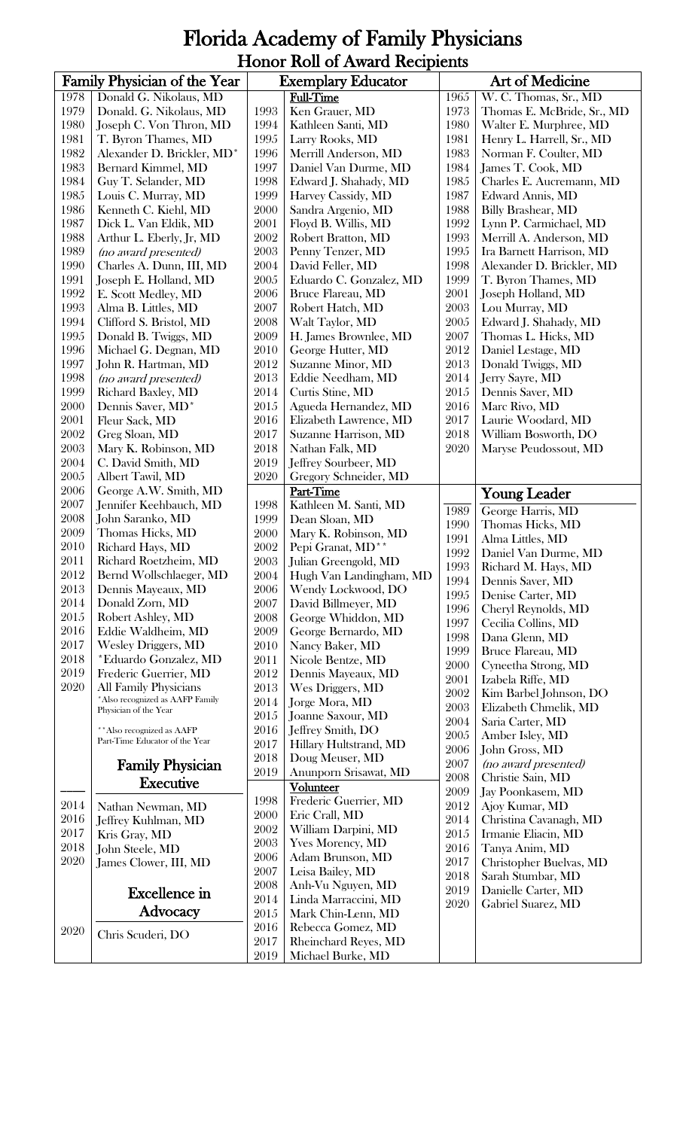## Florida Academy of Family Physicians Honor Roll of Award Recipients

|              | Family Physician of the Year                   |              | Art of Medicine<br><b>Exemplary Educator</b> |              |                                        |
|--------------|------------------------------------------------|--------------|----------------------------------------------|--------------|----------------------------------------|
| 1978         | Donald G. Nikolaus, MD                         |              | <b>Full-Time</b>                             | 1965         | W. C. Thomas, Sr., MD                  |
| 1979         | Donald. G. Nikolaus, MD                        | 1993         | Ken Grauer, MD                               | 1973         | Thomas E. McBride, Sr., MD             |
| 1980         | Joseph C. Von Thron, MD                        | 1994         | Kathleen Santi, MD                           | 1980         | Walter E. Murphree, MD                 |
| 1981         | T. Byron Thames, MD                            | 1995         | Larry Rooks, MD                              | 1981         | Henry L. Harrell, Sr., MD              |
| 1982         | Alexander D. Brickler, MD*                     | 1996         | Merrill Anderson, MD                         | 1983         | Norman F. Coulter, MD                  |
| 1983         | Bernard Kimmel, MD                             | 1997         | Daniel Van Durme, MD                         | 1984         | James T. Cook, MD                      |
| 1984         | Guy T. Selander, MD                            | 1998         | Edward J. Shahady, MD                        | 1985         | Charles E. Aucremann, MD               |
| 1985         | Louis C. Murray, MD                            | 1999         | Harvey Cassidy, MD                           | 1987         | Edward Annis, MD                       |
| 1986         | Kenneth C. Kiehl, MD                           | 2000         | Sandra Argenio, MD                           | 1988         | <b>Billy Brashear, MD</b>              |
| 1987         | Dick L. Van Eldik, MD                          | 2001         | Floyd B. Willis, MD                          | 1992         | Lynn P. Carmichael, MD                 |
| 1988         | Arthur L. Eberly, Jr, MD                       | 2002         | Robert Bratton, MD                           | 1993         | Merrill A. Anderson, MD                |
| 1989         | (no award presented)                           | 2003         | Penny Tenzer, MD                             | 1995         | Ira Barnett Harrison, MD               |
| 1990         | Charles A. Dunn, III, MD                       | 2004         | David Feller, MD                             | 1998         | Alexander D. Brickler, MD              |
| 1991<br>1992 | Joseph E. Holland, MD                          | 2005<br>2006 | Eduardo C. Gonzalez, MD                      | 1999<br>2001 | T. Byron Thames, MD                    |
| 1993         | E. Scott Medley, MD                            | 2007         | Bruce Flareau, MD<br>Robert Hatch, MD        | 2003         | Joseph Holland, MD<br>Lou Murray, MD   |
| 1994         | Alma B. Littles, MD<br>Clifford S. Bristol, MD | 2008         | Walt Taylor, MD                              | 2005         | Edward J. Shahady, MD                  |
| 1995         | Donald B. Twiggs, MD                           | 2009         | H. James Brownlee, MD                        | 2007         | Thomas L. Hicks, MD                    |
| 1996         | Michael G. Degnan, MD                          | 2010         | George Hutter, MD                            | 2012         | Daniel Lestage, MD                     |
| 1997         | John R. Hartman, MD                            | 2012         | Suzanne Minor, MD                            | 2013         | Donald Twiggs, MD                      |
| 1998         | (no award presented)                           | 2013         | Eddie Needham, MD                            | 2014         | Jerry Sayre, MD                        |
| 1999         | Richard Baxley, MD                             | 2014         | Curtis Stine, MD                             | 2015         | Dennis Saver, MD                       |
| 2000         | Dennis Saver, MD*                              | 2015         | Agueda Hernandez, MD                         | 2016         | Marc Rivo, MD                          |
| 2001         | Fleur Sack, MD                                 | 2016         | Elizabeth Lawrence, MD                       | 2017         | Laurie Woodard, MD                     |
| 2002         | Greg Sloan, MD                                 | 2017         | Suzanne Harrison, MD                         | 2018         | William Bosworth, DO                   |
| 2003         | Mary K. Robinson, MD                           | 2018         | Nathan Falk, MD                              | 2020         | Maryse Peudossout, MD                  |
| 2004         | C. David Smith, MD                             | 2019         | Jeffrey Sourbeer, MD                         |              |                                        |
| 2005         | Albert Tawil, MD                               | 2020         | Gregory Schneider, MD                        |              |                                        |
| 2006         | George A.W. Smith, MD                          |              | Part-Time                                    |              | <b>Young Leader</b>                    |
| 2007         | Jennifer Keehbauch, MD                         | 1998         | Kathleen M. Santi, MD                        | 1989         | George Harris, MD                      |
| 2008         | John Saranko, MD                               | 1999         | Dean Sloan, MD                               | 1990         | Thomas Hicks, MD                       |
| 2009         | Thomas Hicks, MD                               | 2000         | Mary K. Robinson, MD                         | 1991         | Alma Littles, MD                       |
| 2010         | Richard Hays, MD                               | 2002         | Pepi Granat, MD**                            | 1992         | Daniel Van Durme, MD                   |
| 2011         | Richard Roetzheim, MD                          | 2003         | Julian Greengold, MD                         | 1993         | Richard M. Hays, MD                    |
| 2012         | Bernd Wollschlaeger, MD                        | 2004         | Hugh Van Landingham, MD                      | 1994         | Dennis Saver, MD                       |
| 2013         | Dennis Mayeaux, MD                             | 2006         | Wendy Lockwood, DO                           | 1995         | Denise Carter, MD                      |
| 2014<br>2015 | Donald Zorn, MD                                | 2007         | David Billmeyer, MD                          | 1996         | Cheryl Reynolds, MD                    |
| 2016         | Robert Ashley, MD<br>Eddie Waldheim, MD        | 2008<br>2009 | George Whiddon, MD                           | 1997         | Cecilia Collins, MD                    |
| 2017         | <b>Wesley Driggers, MD</b>                     | 2010         | George Bernardo, MD<br>Nancy Baker, MD       | 1998         | Dana Glenn, MD                         |
| 2018         | *Eduardo Gonzalez, MD                          | 2011         | Nicole Bentze, MD                            | 1999         | Bruce Flareau, MD                      |
| 2019         | Frederic Guerrier, MD                          | 2012         | Dennis Mayeaux, MD                           | 2000         | Cyneetha Strong, MD                    |
| 2020         | All Family Physicians                          | 2013         | Wes Driggers, MD                             | 2001         | Izabela Riffe, MD                      |
|              | *Also recognized as AAFP Family                | 2014         | Jorge Mora, MD                               | 2002         | Kim Barbel Johnson, DO                 |
|              | Physician of the Year                          | 2015         | Joanne Saxour, MD                            | 2003         | Elizabeth Chmelik, MD                  |
|              | ** Also recognized as AAFP                     | 2016         | Jeffrey Smith, DO                            | 2004         | Saria Carter, MD                       |
|              | Part-Time Educator of the Year                 | 2017         | Hillary Hultstrand, MD                       | 2005<br>2006 | Amber Isley, MD                        |
|              |                                                | 2018         | Doug Meuser, MD                              | 2007         | John Gross, MD<br>(no award presented) |
|              | <b>Family Physician</b>                        | 2019         | Anunporn Srisawat, MD                        | 2008         | Christie Sain, MD                      |
|              | <b>Executive</b>                               |              | <b>Volunteer</b>                             | 2009         | Jay Poonkasem, MD                      |
| 2014         | Nathan Newman, MD                              | 1998         | Frederic Guerrier, MD                        | 2012         | Ajoy Kumar, MD                         |
| 2016         | Jeffrey Kuhlman, MD                            | 2000         | Eric Crall, MD                               | 2014         | Christina Cavanagh, MD                 |
| 2017         | Kris Gray, MD                                  | 2002         | William Darpini, MD                          | 2015         | Irmanie Eliacin, MD                    |
| 2018         | John Steele, MD                                | 2003         | <b>Yves Morency, MD</b>                      | 2016         | Tanya Anim, MD                         |
| 2020         | James Clower, III, MD                          | 2006         | Adam Brunson, MD                             | 2017         | Christopher Buelvas, MD                |
|              |                                                | 2007         | Leisa Bailey, MD                             | 2018         | Sarah Stumbar, MD                      |
|              | <b>Excellence</b> in                           | 2008         | Anh-Vu Nguyen, MD                            | 2019         | Danielle Carter, MD                    |
|              | Advocacy                                       | 2014         | Linda Marraccini, MD                         | 2020         | Gabriel Suarez, MD                     |
|              |                                                | 2015         | Mark Chin-Lenn, MD                           |              |                                        |
| 2020         | Chris Scuderi, DO                              | 2016<br>2017 | Rebecca Gomez, MD                            |              |                                        |
|              |                                                | 2019         | Rheinchard Reyes, MD<br>Michael Burke, MD    |              |                                        |
|              |                                                |              |                                              |              |                                        |